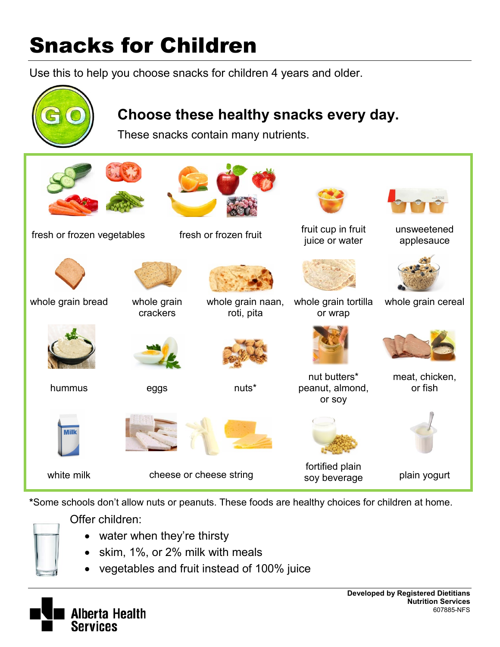## Snacks for Children

Use this to help you choose snacks for children 4 years and older.



**\***Some schools don't allow nuts or peanuts. These foods are healthy choices for children at home.

Offer children:

- water when they're thirsty
- skim, 1%, or 2% milk with meals
- vegetables and fruit instead of 100% juice